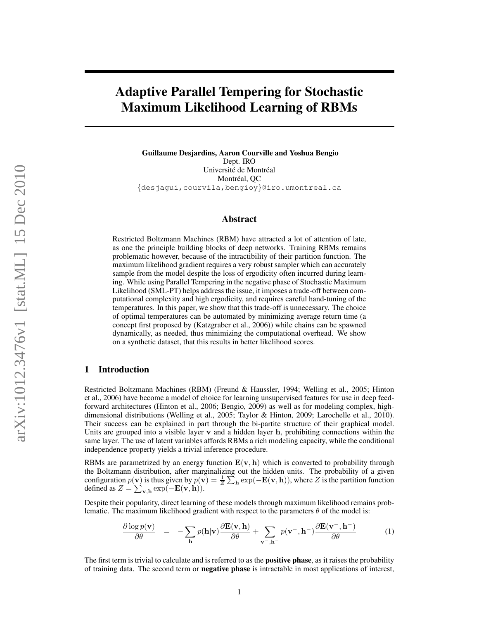# Adaptive Parallel Tempering for Stochastic Maximum Likelihood Learning of RBMs

Guillaume Desjardins, Aaron Courville and Yoshua Bengio Dept. IRO Université de Montréal Montréal, QC {desjagui,courvila,bengioy}@iro.umontreal.ca

## Abstract

Restricted Boltzmann Machines (RBM) have attracted a lot of attention of late, as one the principle building blocks of deep networks. Training RBMs remains problematic however, because of the intractibility of their partition function. The maximum likelihood gradient requires a very robust sampler which can accurately sample from the model despite the loss of ergodicity often incurred during learning. While using Parallel Tempering in the negative phase of Stochastic Maximum Likelihood (SML-PT) helps address the issue, it imposes a trade-off between computational complexity and high ergodicity, and requires careful hand-tuning of the temperatures. In this paper, we show that this trade-off is unnecessary. The choice of optimal temperatures can be automated by minimizing average return time (a concept first proposed by (Katzgraber et al., 2006)) while chains can be spawned dynamically, as needed, thus minimizing the computational overhead. We show on a synthetic dataset, that this results in better likelihood scores.

## 1 Introduction

Restricted Boltzmann Machines (RBM) (Freund & Haussler, 1994; Welling et al., 2005; Hinton et al., 2006) have become a model of choice for learning unsupervised features for use in deep feedforward architectures (Hinton et al., 2006; Bengio, 2009) as well as for modeling complex, highdimensional distributions (Welling et al., 2005; Taylor & Hinton, 2009; Larochelle et al., 2010). Their success can be explained in part through the bi-partite structure of their graphical model. Units are grouped into a visible layer  $v$  and a hidden layer  $h$ , prohibiting connections within the same layer. The use of latent variables affords RBMs a rich modeling capacity, while the conditional independence property yields a trivial inference procedure.

RBMs are parametrized by an energy function  $E(v, h)$  which is converted to probability through the Boltzmann distribution, after marginalizing out the hidden units. The probability of a given configuration  $p(\mathbf{v})$  is thus given by  $p(\mathbf{v}) = \frac{1}{Z} \sum_{\mathbf{h}} exp(-\mathbf{E}(\mathbf{v}, \mathbf{h}))$ , where Z is the partition function defined as  $Z = \sum_{\mathbf{v},\mathbf{h}} \exp(-\mathbf{E}(\mathbf{v},\mathbf{h})).$ 

Despite their popularity, direct learning of these models through maximum likelihood remains problematic. The maximum likelihood gradient with respect to the parameters  $\theta$  of the model is:

$$
\frac{\partial \log p(\mathbf{v})}{\partial \theta} = -\sum_{\mathbf{h}} p(\mathbf{h}|\mathbf{v}) \frac{\partial \mathbf{E}(\mathbf{v}, \mathbf{h})}{\partial \theta} + \sum_{\mathbf{v}^-, \mathbf{h}^-} p(\mathbf{v}^-, \mathbf{h}^-) \frac{\partial \mathbf{E}(\mathbf{v}^-, \mathbf{h}^-)}{\partial \theta} \tag{1}
$$

The first term is trivial to calculate and is referred to as the **positive phase**, as it raises the probability of training data. The second term or negative phase is intractable in most applications of interest,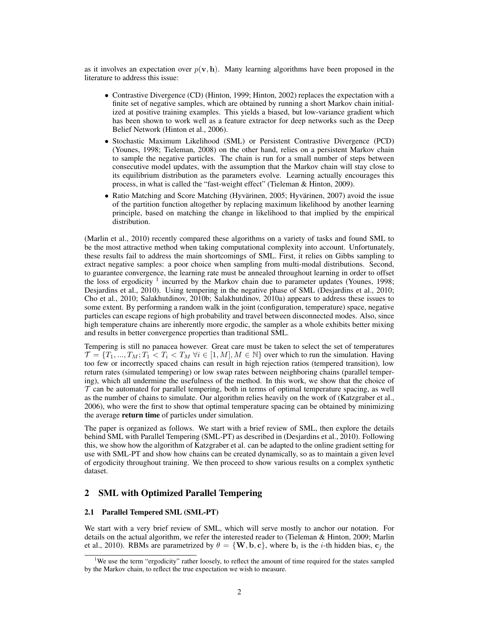as it involves an expectation over  $p(\mathbf{v}, \mathbf{h})$ . Many learning algorithms have been proposed in the literature to address this issue:

- Contrastive Divergence (CD) (Hinton, 1999; Hinton, 2002) replaces the expectation with a finite set of negative samples, which are obtained by running a short Markov chain initialized at positive training examples. This yields a biased, but low-variance gradient which has been shown to work well as a feature extractor for deep networks such as the Deep Belief Network (Hinton et al., 2006).
- Stochastic Maximum Likelihood (SML) or Persistent Contrastive Divergence (PCD) (Younes, 1998; Tieleman, 2008) on the other hand, relies on a persistent Markov chain to sample the negative particles. The chain is run for a small number of steps between consecutive model updates, with the assumption that the Markov chain will stay close to its equilibrium distribution as the parameters evolve. Learning actually encourages this process, in what is called the "fast-weight effect" (Tieleman & Hinton, 2009).
- Ratio Matching and Score Matching (Hyvärinen, 2005; Hyvärinen, 2007) avoid the issue of the partition function altogether by replacing maximum likelihood by another learning principle, based on matching the change in likelihood to that implied by the empirical distribution.

(Marlin et al., 2010) recently compared these algorithms on a variety of tasks and found SML to be the most attractive method when taking computational complexity into account. Unfortunately, these results fail to address the main shortcomings of SML. First, it relies on Gibbs sampling to extract negative samples: a poor choice when sampling from multi-modal distributions. Second, to guarantee convergence, the learning rate must be annealed throughout learning in order to offset the loss of ergodicity  $1$  incurred by the Markov chain due to parameter updates (Younes, 1998; Desjardins et al., 2010). Using tempering in the negative phase of SML (Desjardins et al., 2010; Cho et al., 2010; Salakhutdinov, 2010b; Salakhutdinov, 2010a) appears to address these issues to some extent. By performing a random walk in the joint (configuration, temperature) space, negative particles can escape regions of high probability and travel between disconnected modes. Also, since high temperature chains are inherently more ergodic, the sampler as a whole exhibits better mixing and results in better convergence properties than traditional SML.

Tempering is still no panacea however. Great care must be taken to select the set of temperatures  $\mathcal{T} = \{T_1, ..., T_M; T_1 < T_i < T_M \,\forall i \in [1, M], M \in \mathbb{N}\}\$  over which to run the simulation. Having too few or incorrectly spaced chains can result in high rejection ratios (tempered transition), low return rates (simulated tempering) or low swap rates between neighboring chains (parallel tempering), which all undermine the usefulness of the method. In this work, we show that the choice of  $\tau$  can be automated for parallel tempering, both in terms of optimal temperature spacing, as well as the number of chains to simulate. Our algorithm relies heavily on the work of (Katzgraber et al., 2006), who were the first to show that optimal temperature spacing can be obtained by minimizing the average return time of particles under simulation.

The paper is organized as follows. We start with a brief review of SML, then explore the details behind SML with Parallel Tempering (SML-PT) as described in (Desjardins et al., 2010). Following this, we show how the algorithm of Katzgraber et al. can be adapted to the online gradient setting for use with SML-PT and show how chains can be created dynamically, so as to maintain a given level of ergodicity throughout training. We then proceed to show various results on a complex synthetic dataset.

## 2 SML with Optimized Parallel Tempering

#### 2.1 Parallel Tempered SML (SML-PT)

We start with a very brief review of SML, which will serve mostly to anchor our notation. For details on the actual algorithm, we refer the interested reader to (Tieleman & Hinton, 2009; Marlin et al., 2010). RBMs are parametrized by  $\theta = \{W, b, c\}$ , where  $b_i$  is the *i*-th hidden bias,  $c_j$  the

<sup>&</sup>lt;sup>1</sup>We use the term "ergodicity" rather loosely, to reflect the amount of time required for the states sampled by the Markov chain, to reflect the true expectation we wish to measure.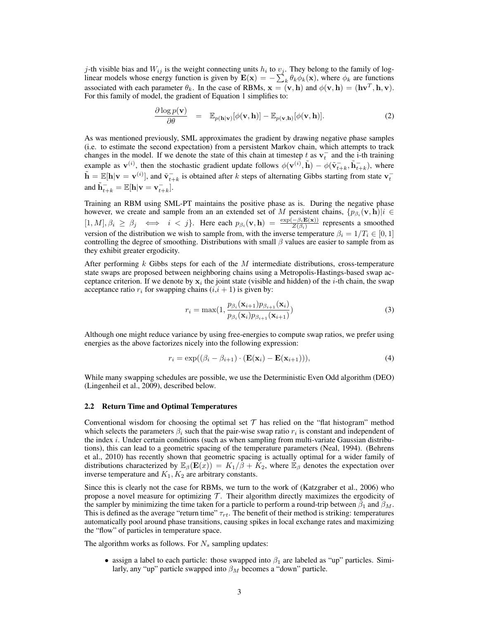j-th visible bias and  $W_{ij}$  is the weight connecting units  $h_i$  to  $v_j$ . They belong to the family of loglinear models whose energy function is given by  $\mathbf{E}(\mathbf{x}) = -\sum_{k} \theta_k \phi_k(\mathbf{x})$ , where  $\phi_k$  are functions associated with each parameter  $\theta_k$ . In the case of RBMs,  $\mathbf{x} = (\mathbf{v}, \mathbf{h})$  and  $\phi(\mathbf{v}, \mathbf{h}) = (\mathbf{h}\mathbf{v}^T, \mathbf{h}, \mathbf{v})$ . For this family of model, the gradient of Equation 1 simplifies to:

$$
\frac{\partial \log p(\mathbf{v})}{\partial \theta} = \mathbb{E}_{p(\mathbf{h}|\mathbf{v})} [\phi(\mathbf{v}, \mathbf{h})] - \mathbb{E}_{p(\mathbf{v}, \mathbf{h})} [\phi(\mathbf{v}, \mathbf{h})]. \tag{2}
$$

As was mentioned previously, SML approximates the gradient by drawing negative phase samples (i.e. to estimate the second expectation) from a persistent Markov chain, which attempts to track changes in the model. If we denote the state of this chain at timestep t as  $v_t^-$  and the i-th training example as  $\mathbf{v}^{(i)}$ , then the stochastic gradient update follows  $\phi(\mathbf{v}^{(i)}, \tilde{\mathbf{h}}) - \phi(\tilde{\mathbf{v}}_{t+k}^-, \tilde{\mathbf{h}}_{t+k}^-)$ , where  $\tilde{\mathbf{h}} = \mathbb{E}[\mathbf{h}|\mathbf{v} = \mathbf{v}^{(i)}]$ , and  $\tilde{\mathbf{v}}_{t+k}$  is obtained after k steps of alternating Gibbs starting from state  $\mathbf{v}_t^$ and  $\tilde{\mathbf{h}}_{t+k}^- = \mathbb{E}[\mathbf{h}|\mathbf{v} = \mathbf{v}_{t+k}^-].$ 

Training an RBM using SML-PT maintains the positive phase as is. During the negative phase however, we create and sample from an an extended set of M persistent chains,  $\{p_{\beta_i}(\mathbf{v},\mathbf{h})|i \in$  $[1, M], \beta_i \ge \beta_j \iff i < j$ . Here each  $p_{\beta_i}(\mathbf{v}, \mathbf{h}) = \frac{\exp(-\beta_i \mathbf{E}(\mathbf{x}))}{Z(\beta_i)}$  represents a smoothed version of the distribution we wish to sample from, with the inverse temperature  $\beta_i = 1/T_i \in [0, 1]$ controlling the degree of smoothing. Distributions with small  $\beta$  values are easier to sample from as they exhibit greater ergodicity.

After performing k Gibbs steps for each of the  $M$  intermediate distributions, cross-temperature state swaps are proposed between neighboring chains using a Metropolis-Hastings-based swap acceptance criterion. If we denote by  $x_i$  the joint state (visible and hidden) of the *i*-th chain, the swap acceptance ratio  $r_i$  for swapping chains  $(i,i + 1)$  is given by:

$$
r_i = \max(1, \frac{p_{\beta_i}(\mathbf{x}_{i+1})p_{\beta_{i+1}}(\mathbf{x}_i)}{p_{\beta_i}(\mathbf{x}_i)p_{\beta_{i+1}}(\mathbf{x}_{i+1})})
$$
(3)

Although one might reduce variance by using free-energies to compute swap ratios, we prefer using energies as the above factorizes nicely into the following expression:

$$
r_i = \exp((\beta_i - \beta_{i+1}) \cdot (\mathbf{E}(\mathbf{x}_i) - \mathbf{E}(\mathbf{x}_{i+1}))),
$$
\n(4)

While many swapping schedules are possible, we use the Deterministic Even Odd algorithm (DEO) (Lingenheil et al., 2009), described below.

#### 2.2 Return Time and Optimal Temperatures

Conventional wisdom for choosing the optimal set  $\mathcal T$  has relied on the "flat histogram" method which selects the parameters  $\beta_i$  such that the pair-wise swap ratio  $r_i$  is constant and independent of the index  $i$ . Under certain conditions (such as when sampling from multi-variate Gaussian distributions), this can lead to a geometric spacing of the temperature parameters (Neal, 1994). (Behrens et al., 2010) has recently shown that geometric spacing is actually optimal for a wider family of distributions characterized by  $\mathbb{E}_{\beta}(\mathbf{E}(x)) = K_1/\overline{\beta} + \overline{K}_2$ , where  $\mathbb{E}_{\beta}$  denotes the expectation over inverse temperature and  $K_1, K_2$  are arbitrary constants.

Since this is clearly not the case for RBMs, we turn to the work of (Katzgraber et al., 2006) who propose a novel measure for optimizing  $\mathcal T$ . Their algorithm directly maximizes the ergodicity of the sampler by minimizing the time taken for a particle to perform a round-trip between  $\beta_1$  and  $\beta_M$ . This is defined as the average "return time"  $\tau_{rt}$ . The benefit of their method is striking: temperatures automatically pool around phase transitions, causing spikes in local exchange rates and maximizing the "flow" of particles in temperature space.

The algorithm works as follows. For  $N_s$  sampling updates:

• assign a label to each particle: those swapped into  $\beta_1$  are labeled as "up" particles. Similarly, any "up" particle swapped into  $\beta_M$  becomes a "down" particle.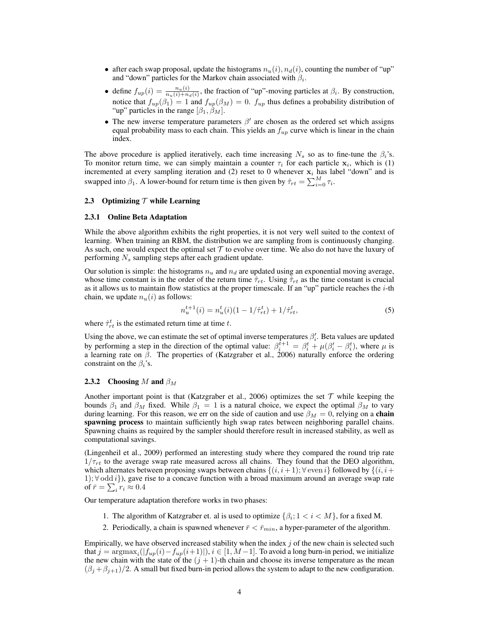- after each swap proposal, update the histograms  $n_u(i)$ ,  $n_d(i)$ , counting the number of "up" and "down" particles for the Markov chain associated with  $\beta_i$ .
- define  $f_{up}(i) = \frac{n_u(i)}{n_u(i) + n_d(i)}$ , the fraction of "up"-moving particles at  $\beta_i$ . By construction, notice that  $f_{up}(\beta_1) = 1$  and  $f_{up}(\beta_M) = 0$ .  $f_{up}$  thus defines a probability distribution of "up" particles in the range  $[\beta_1, \beta_M]$ .
- The new inverse temperature parameters  $\beta'$  are chosen as the ordered set which assigns equal probability mass to each chain. This yields an  $f_{up}$  curve which is linear in the chain index.

The above procedure is applied iteratively, each time increasing  $N_s$  so as to fine-tune the  $\beta_i$ 's. To monitor return time, we can simply maintain a counter  $\tau_i$  for each particle  $x_i$ , which is (1) incremented at every sampling iteration and (2) reset to 0 whenever  $x_i$  has label "down" and is swapped into  $\beta_1$ . A lower-bound for return time is then given by  $\hat{\tau}_{rt} = \sum_{i=0}^{M} \tau_i$ .

#### 2.3 Optimizing  $T$  while Learning

#### 2.3.1 Online Beta Adaptation

While the above algorithm exhibits the right properties, it is not very well suited to the context of learning. When training an RBM, the distribution we are sampling from is continuously changing. As such, one would expect the optimal set  $\mathcal T$  to evolve over time. We also do not have the luxury of performing  $N_s$  sampling steps after each gradient update.

Our solution is simple: the histograms  $n_u$  and  $n_d$  are updated using an exponential moving average, whose time constant is in the order of the return time  $\hat{\tau}_{rt}$ . Using  $\hat{\tau}_{rt}$  as the time constant is crucial as it allows us to maintain flow statistics at the proper timescale. If an "up" particle reaches the  $i$ -th chain, we update  $n_u(i)$  as follows:

$$
n_u^{t+1}(i) = n_u^t(i)(1 - 1/\hat{\tau}_{rt}^t) + 1/\hat{\tau}_{rt}^t,\tag{5}
$$

where  $\hat{\tau}_{rt}^t$  is the estimated return time at time t.

Using the above, we can estimate the set of optimal inverse temperatures  $\beta_i'$ . Beta values are updated by performing a step in the direction of the optimal value:  $\beta_i^{t+1} = \beta_i^t + \mu(\beta_i' - \beta_i^t)$ , where  $\mu$  is a learning rate on  $\beta$ . The properties of (Katzgraber et al., 2006) naturally enforce the ordering constraint on the  $\beta_i$ 's.

#### 2.3.2 Choosing M and  $\beta_M$

Another important point is that (Katzgraber et al., 2006) optimizes the set  $\mathcal T$  while keeping the bounds  $\beta_1$  and  $\beta_M$  fixed. While  $\beta_1 = 1$  is a natural choice, we expect the optimal  $\beta_M$  to vary during learning. For this reason, we err on the side of caution and use  $\beta_M = 0$ , relying on a chain spawning process to maintain sufficiently high swap rates between neighboring parallel chains. Spawning chains as required by the sampler should therefore result in increased stability, as well as computational savings.

(Lingenheil et al., 2009) performed an interesting study where they compared the round trip rate  $1/\tau_{rt}$  to the average swap rate measured across all chains. They found that the DEO algorithm, which alternates between proposing swaps between chains  $\{(i, i+1); \forall$  even i} followed by  $\{(i, i+1)\}$ 1);  $\forall$  odd *i*}), gave rise to a concave function with a broad maximum around an average swap rate of  $\bar{r} = \sum_i r_i \approx 0.4$ 

Our temperature adaptation therefore works in two phases:

- 1. The algorithm of Katzgraber et. al is used to optimize  $\{\beta_i; 1 \lt i \lt M\}$ , for a fixed M.
- 2. Periodically, a chain is spawned whenever  $\bar{r} < \bar{r}_{min}$ , a hyper-parameter of the algorithm.

Empirically, we have observed increased stability when the index  $j$  of the new chain is selected such that  $j = \mathrm{argmax}_{i}(|f_{up}(i) - f_{up}(i+1)|), i \in [1, M-1]$ . To avoid a long burn-in period, we initialize the new chain with the state of the  $(j + 1)$ -th chain and choose its inverse temperature as the mean  $(\beta_j + \beta_{j+1})/2$ . A small but fixed burn-in period allows the system to adapt to the new configuration.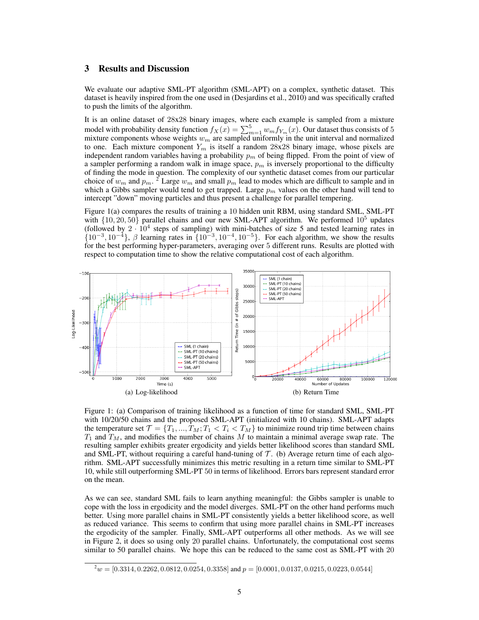# 3 Results and Discussion

We evaluate our adaptive SML-PT algorithm (SML-APT) on a complex, synthetic dataset. This dataset is heavily inspired from the one used in (Desjardins et al., 2010) and was specifically crafted to push the limits of the algorithm.

It is an online dataset of 28x28 binary images, where each example is sampled from a mixture model with probability density function  $f_X(x) = \sum_{m=1}^5 w_m f_{Y_m}(x)$ . Our dataset thus consists of 5 mixture components whose weights  $w_m$  are sampled uniformly in the unit interval and normalized to one. Each mixture component  $Y_m$  is itself a random 28x28 binary image, whose pixels are independent random variables having a probability  $p<sub>m</sub>$  of being flipped. From the point of view of a sampler performing a random walk in image space,  $p_m$  is inversely proportional to the difficulty of finding the mode in question. The complexity of our synthetic dataset comes from our particular choice of  $w_m$  and  $p_m$ . <sup>2</sup> Large  $w_m$  and small  $p_m$  lead to modes which are difficult to sample and in which a Gibbs sampler would tend to get trapped. Large  $p_m$  values on the other hand will tend to intercept "down" moving particles and thus present a challenge for parallel tempering.

Figure 1(a) compares the results of training a 10 hidden unit RBM, using standard SML, SML-PT with  $\{10, 20, 50\}$  parallel chains and our new SML-APT algorithm. We performed  $10^5$  updates (followed by  $2 \cdot 10^4$  steps of sampling) with mini-batches of size 5 and tested learning rates in  $\{10^{-3}, 10^{-4}\}, \beta$  learning rates in  $\{10^{-3}, 10^{-4}, 10^{-5}\}.$  For each algorithm, we show the results for the best performing hyper-parameters, averaging over 5 different runs. Results are plotted with respect to computation time to show the relative computational cost of each algorithm.



Figure 1: (a) Comparison of training likelihood as a function of time for standard SML, SML-PT with 10/20/50 chains and the proposed SML-APT (initialized with 10 chains). SML-APT adapts the temperature set  $\mathcal{T} = \{T_1, ..., T_M; T_1 < T_i < T_M\}$  to minimize round trip time between chains  $T_1$  and  $T_M$ , and modifies the number of chains M to maintain a minimal average swap rate. The resulting sampler exhibits greater ergodicity and yields better likelihood scores than standard SML and SML-PT, without requiring a careful hand-tuning of  $\mathcal T$ . (b) Average return time of each algorithm. SML-APT successfully minimizes this metric resulting in a return time similar to SML-PT 10, while still outperforming SML-PT 50 in terms of likelihood. Errors bars represent standard error on the mean.

As we can see, standard SML fails to learn anything meaningful: the Gibbs sampler is unable to cope with the loss in ergodicity and the model diverges. SML-PT on the other hand performs much better. Using more parallel chains in SML-PT consistently yields a better likelihood score, as well as reduced variance. This seems to confirm that using more parallel chains in SML-PT increases the ergodicity of the sampler. Finally, SML-APT outperforms all other methods. As we will see in Figure 2, it does so using only 20 parallel chains. Unfortunately, the computational cost seems similar to 50 parallel chains. We hope this can be reduced to the same cost as SML-PT with 20

 $^{2}w = [0.3314, 0.2262, 0.0812, 0.0254, 0.3358]$  and  $p = [0.0001, 0.0137, 0.0215, 0.0223, 0.0544]$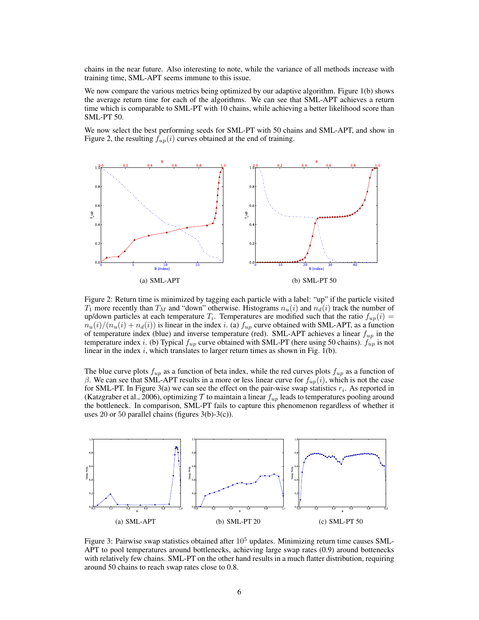chains in the near future. Also interesting to note, while the variance of all methods increase with training time, SML-APT seems immune to this issue.

We now compare the various metrics being optimized by our adaptive algorithm. Figure 1(b) shows the average return time for each of the algorithms. We can see that SML-APT achieves a return time which is comparable to SML-PT with 10 chains, while achieving a better likelihood score than SML-PT 50.

We now select the best performing seeds for SML-PT with 50 chains and SML-APT, and show in Figure 2, the resulting  $f_{up}(i)$  curves obtained at the end of training.



Figure 2: Return time is minimized by tagging each particle with a label: "up" if the particle visited  $T_1$  more recently than  $T_M$  and "down" otherwise. Histograms  $n_u(i)$  and  $n_d(i)$  track the number of up/down particles at each temperature  $T_i$ . Temperatures are modified such that the ratio  $f_{up}(i)$  =  $n_u(i)/(n_u(i) + n_d(i))$  is linear in the index i. (a)  $f_{up}$  curve obtained with SML-APT, as a function of temperature index (blue) and inverse temperature (red). SML-APT achieves a linear  $f_{up}$  in the temperature index i. (b) Typical  $f_{up}$  curve obtained with SML-PT (here using 50 chains).  $f_{up}$  is not linear in the index  $i$ , which translates to larger return times as shown in Fig. 1(b).

The blue curve plots  $f_{up}$  as a function of beta index, while the red curves plots  $f_{up}$  as a function of β. We can see that SML-APT results in a more or less linear curve for  $f_{up}(i)$ , which is not the case for SML-PT. In Figure 3(a) we can see the effect on the pair-wise swap statistics  $r_i$ . As reported in (Katzgraber et al., 2006), optimizing  $\mathcal T$  to maintain a linear  $f_{up}$  leads to temperatures pooling around the bottleneck. In comparison, SML-PT fails to capture this phenomenon regardless of whether it uses 20 or 50 parallel chains (figures  $3(b)-3(c)$ ).



Figure 3: Pairwise swap statistics obtained after  $10<sup>5</sup>$  updates. Minimizing return time causes SML-APT to pool temperatures around bottlenecks, achieving large swap rates (0.9) around bottenecks with relatively few chains. SML-PT on the other hand results in a much flatter distribution, requiring around 50 chains to reach swap rates close to 0.8.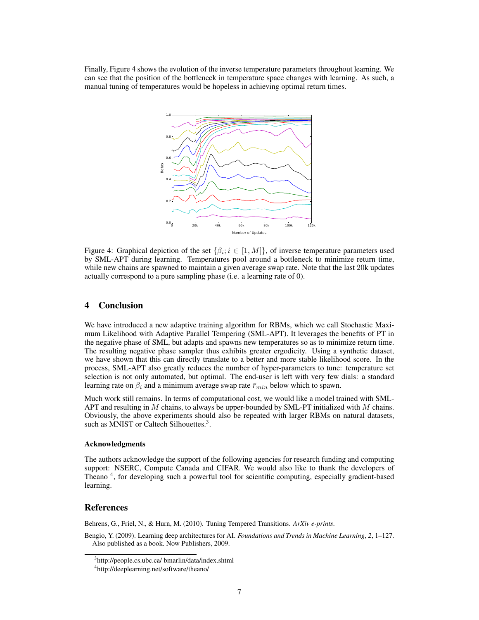Finally, Figure 4 shows the evolution of the inverse temperature parameters throughout learning. We can see that the position of the bottleneck in temperature space changes with learning. As such, a manual tuning of temperatures would be hopeless in achieving optimal return times.



Figure 4: Graphical depiction of the set  $\{\beta_i; i \in [1, M]\}$ , of inverse temperature parameters used by SML-APT during learning. Temperatures pool around a bottleneck to minimize return time, while new chains are spawned to maintain a given average swap rate. Note that the last 20k updates actually correspond to a pure sampling phase (i.e. a learning rate of 0).

## 4 Conclusion

We have introduced a new adaptive training algorithm for RBMs, which we call Stochastic Maximum Likelihood with Adaptive Parallel Tempering (SML-APT). It leverages the benefits of PT in the negative phase of SML, but adapts and spawns new temperatures so as to minimize return time. The resulting negative phase sampler thus exhibits greater ergodicity. Using a synthetic dataset, we have shown that this can directly translate to a better and more stable likelihood score. In the process, SML-APT also greatly reduces the number of hyper-parameters to tune: temperature set selection is not only automated, but optimal. The end-user is left with very few dials: a standard learning rate on  $\beta_i$  and a minimum average swap rate  $\bar{r}_{min}$  below which to spawn.

Much work still remains. In terms of computational cost, we would like a model trained with SML-APT and resulting in M chains, to always be upper-bounded by SML-PT initialized with M chains. Obviously, the above experiments should also be repeated with larger RBMs on natural datasets, such as MNIST or Caltech Silhouettes.<sup>3</sup>.

#### Acknowledgments

The authors acknowledge the support of the following agencies for research funding and computing support: NSERC, Compute Canada and CIFAR. We would also like to thank the developers of Theano<sup>4</sup>, for developing such a powerful tool for scientific computing, especially gradient-based learning.

## References

Behrens, G., Friel, N., & Hurn, M. (2010). Tuning Tempered Transitions. *ArXiv e-prints*.

Bengio, Y. (2009). Learning deep architectures for AI. *Foundations and Trends in Machine Learning*, *2*, 1–127. Also published as a book. Now Publishers, 2009.

<sup>3</sup> http://people.cs.ubc.ca/ bmarlin/data/index.shtml

<sup>4</sup> http://deeplearning.net/software/theano/